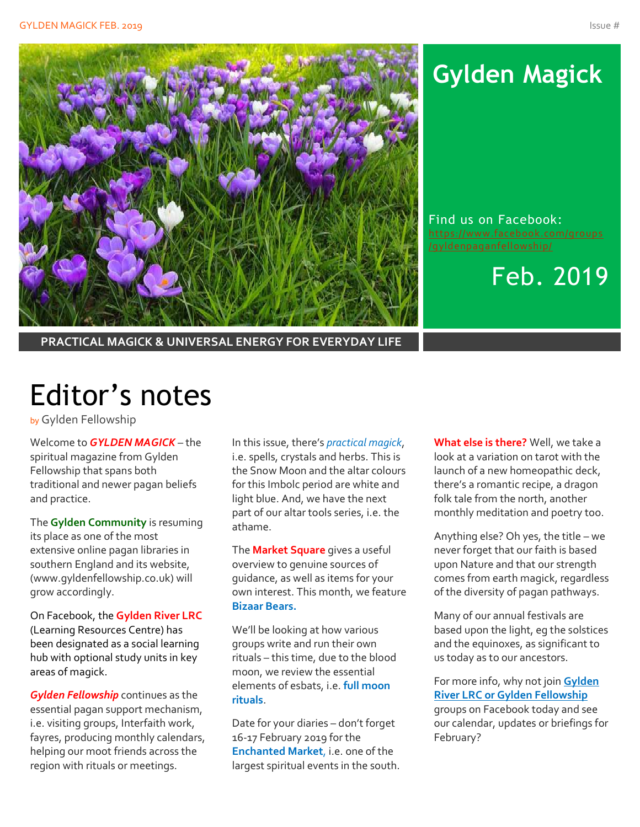

# **Gylden Magick**

Find us on Facebook: [https://www.facebook.com/groups](https://www.facebook.com/groups/gyldenpaganfellowship/)

Feb. 2019

**PRACTICAL MAGICK & UNIVERSAL ENERGY FOR EVERYDAY LIFE**

# Editor's notes

by Gylden Fellowship

Welcome to *GYLDEN MAGICK* – the spiritual magazine from Gylden Fellowship that spans both traditional and newer pagan beliefs and practice.

The **Gylden Community** is resuming its place as one of the most extensive online pagan libraries in southern England and its website, (www.gyldenfellowship.co.uk) will grow accordingly.

On Facebook, the **Gylden River LRC** (Learning Resources Centre) has been designated as a social learning hub with optional study units in key areas of magick.

*Gylden Fellowship* continues as the essential pagan support mechanism, i.e. visiting groups, Interfaith work, fayres, producing monthly calendars, helping our moot friends across the region with rituals or meetings.

In this issue, there's *practical magick*, i.e. spells, crystals and herbs. This is the Snow Moon and the altar colours for this Imbolc period are white and light blue. And, we have the next part of our altar tools series, i.e. the athame.

The **Market Square** gives a useful overview to genuine sources of guidance, as well as items for your own interest. This month, we feature **Bizaar Bears.**

We'll be looking at how various groups write and run their own rituals – this time, due to the blood moon, we review the essential elements of esbats, i.e. **full moon rituals**.

Date for your diaries – don't forget 16-17 February 2019 for the **Enchanted Market**, i.e. one of the largest spiritual events in the south. **What else is there?** Well, we take a look at a variation on tarot with the launch of a new homeopathic deck, there's a romantic recipe, a dragon folk tale from the north, another monthly meditation and poetry too.

Anything else? Oh yes, the title – we never forget that our faith is based upon Nature and that our strength comes from earth magick, regardless of the diversity of pagan pathways.

Many of our annual festivals are based upon the light, eg the solstices and the equinoxes, as significant to us today as to our ancestors.

For more info, why not join **Gylden River LRC or Gylden Fellowship** groups on Facebook today and see our calendar, updates or briefings for February?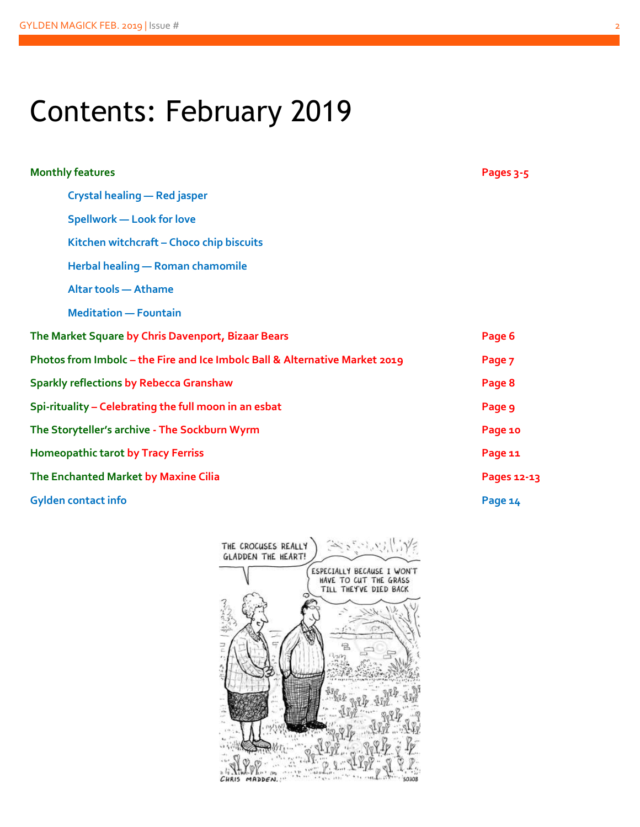# Contents: February 2019

| <b>Monthly features</b>                                                     | Pages 3-5   |
|-----------------------------------------------------------------------------|-------------|
| Crystal healing - Red jasper                                                |             |
| <b>Spellwork - Look for love</b>                                            |             |
| Kitchen witchcraft - Choco chip biscuits                                    |             |
| Herbal healing - Roman chamomile                                            |             |
| <b>Altar tools - Athame</b>                                                 |             |
| <b>Meditation - Fountain</b>                                                |             |
| The Market Square by Chris Davenport, Bizaar Bears                          | Page 6      |
| Photos from Imbolc - the Fire and Ice Imbolc Ball & Alternative Market 2019 | Page 7      |
| <b>Sparkly reflections by Rebecca Granshaw</b>                              | Page 8      |
| Spi-rituality - Celebrating the full moon in an esbat                       | Page 9      |
| The Storyteller's archive - The Sockburn Wyrm                               | Page 10     |
| <b>Homeopathic tarot by Tracy Ferriss</b>                                   | Page 11     |
| The Enchanted Market by Maxine Cilia                                        | Pages 12-13 |
| <b>Gylden contact info</b>                                                  | Page 14     |

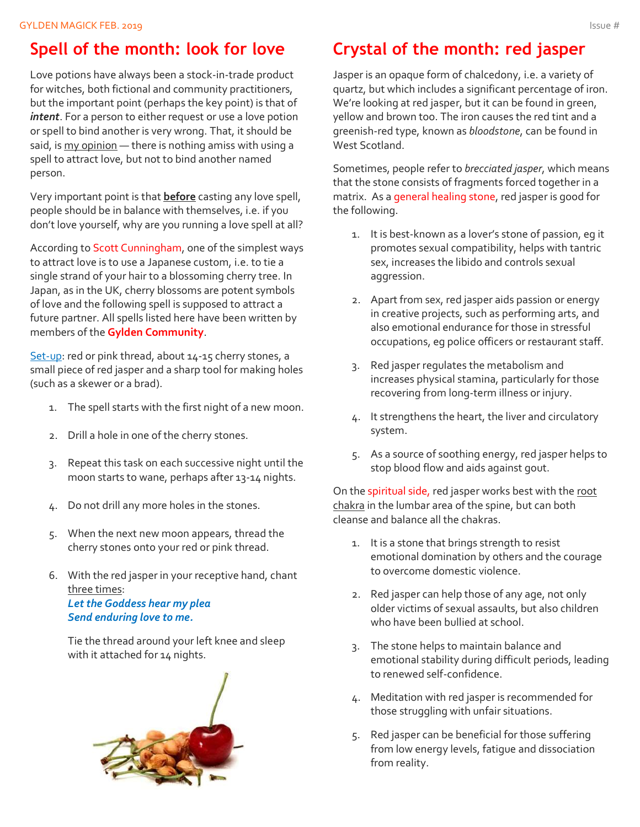## **Spell of the month: look for love**

Love potions have always been a stock-in-trade product for witches, both fictional and community practitioners, but the important point (perhaps the key point) is that of *intent*. For a person to either request or use a love potion or spell to bind another is very wrong. That, it should be said, is my opinion - there is nothing amiss with using a spell to attract love, but not to bind another named person.

Very important point is that **before** casting any love spell, people should be in balance with themselves, i.e. if you don't love yourself, why are you running a love spell at all?

According to Scott Cunningham, one of the simplest ways to attract love is to use a Japanese custom, i.e. to tie a single strand of your hair to a blossoming cherry tree. In Japan, as in the UK, cherry blossoms are potent symbols of love and the following spell is supposed to attract a future partner. All spells listed here have been written by members of the **Gylden Community**.

Set-up: red or pink thread, about 14-15 cherry stones, a small piece of red jasper and a sharp tool for making holes (such as a skewer or a brad).

- 1. The spell starts with the first night of a new moon.
- 2. Drill a hole in one of the cherry stones.
- 3. Repeat this task on each successive night until the moon starts to wane, perhaps after 13-14 nights.
- 4. Do not drill any more holes in the stones.
- 5. When the next new moon appears, thread the cherry stones onto your red or pink thread.
- 6. With the red jasper in your receptive hand, chant three times: *Let the Goddess hear my plea Send enduring love to me.*

Tie the thread around your left knee and sleep with it attached for 14 nights.



## **Crystal of the month: red jasper**

Jasper is an opaque form of chalcedony, i.e. a variety of quartz, but which includes a significant percentage of iron. We're looking at red jasper, but it can be found in green, yellow and brown too. The iron causes the red tint and a greenish-red type, known as *bloodstone*, can be found in West Scotland.

Sometimes, people refer to *brecciated jasper*, which means that the stone consists of fragments forced together in a matrix. As a general healing stone, red jasper is good for the following.

- 1. It is best-known as a lover's stone of passion, eg it promotes sexual compatibility, helps with tantric sex, increases the libido and controls sexual aggression.
- 2. Apart from sex, red jasper aids passion or energy in creative projects, such as performing arts, and also emotional endurance for those in stressful occupations, eg police officers or restaurant staff.
- 3. Red jasper regulates the metabolism and increases physical stamina, particularly for those recovering from long-term illness or injury.
- 4. It strengthens the heart, the liver and circulatory system.
- 5. As a source of soothing energy, red jasper helps to stop blood flow and aids against gout.

On the spiritual side, red jasper works best with the root chakra in the lumbar area of the spine, but can both cleanse and balance all the chakras.

- 1. It is a stone that brings strength to resist emotional domination by others and the courage to overcome domestic violence.
- 2. Red jasper can help those of any age, not only older victims of sexual assaults, but also children who have been bullied at school.
- 3. The stone helps to maintain balance and emotional stability during difficult periods, leading to renewed self-confidence.
- 4. Meditation with red jasper is recommended for those struggling with unfair situations.
- 5. Red jasper can be beneficial for those suffering from low energy levels, fatigue and dissociation from reality.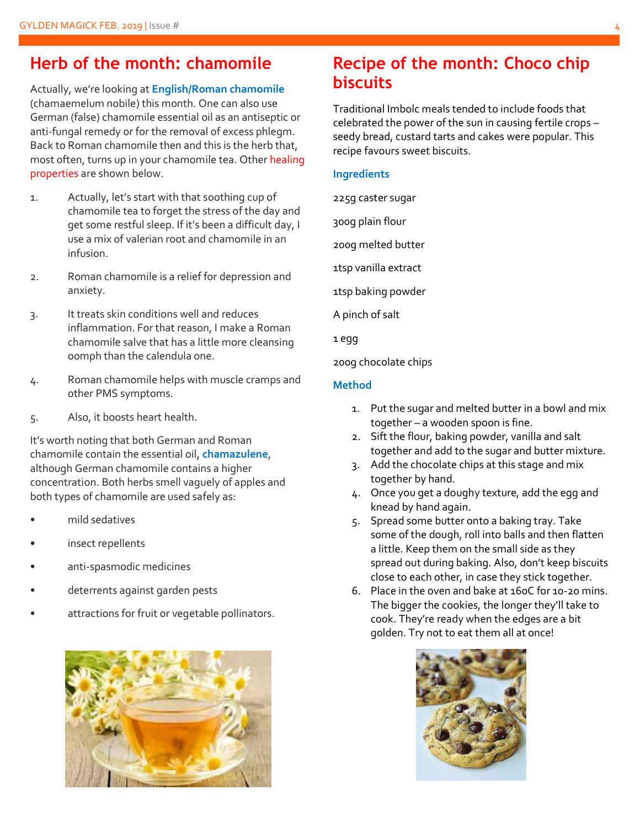### **Herb of the month: chamomile**

Actually, we're looking at **English/Roman chamomile** (chamaemelum nobile) this month. One can also use German (false) chamomile essential oil as an antiseptic or anti-fungal remedy or for the removal of excess phlegm. Back to Roman chamomile then and this is the herb that, most often, turns up in your chamomile tea. Other healing properties are shown below.

- 1. Actually, let's start with that soothing cup of chamomile tea to forget the stress of the day and get some restful sleep. If it's been a difficult day, I use a mix of valerian root and chamomile in an infusion.
- 2. Roman chamomile is a relief for depression and anxiety.
- 3. It treats skin conditions well and reduces inflammation. For that reason, I make a Roman chamomile salve that has a little more cleansing oomph than the calendula one.
- 4. Roman chamomile helps with muscle cramps and other PMS symptoms.
- 5. Also, it boosts heart health.

It's worth noting that both German and Roman chamomile contain the essential oil, **chamazulene**, although German chamomile contains a higher concentration. Both herbs smell vaguely of apples and both types of chamomile are used safely as:

- mild sedatives
- insect repellents
- anti-spasmodic medicines
- deterrents against garden pests
- attractions for fruit or vegetable pollinators.



### **Recipe of the month: Choco chip biscuits**

Traditional Imbolc meals tended to include foods that celebrated the power of the sun in causing fertile crops – seedy bread, custard tarts and cakes were popular. This recipe favours sweet biscuits.

#### **Ingredients**

225g caster sugar

300g plain flour

200g melted butter

1tsp vanilla extract

1tsp baking powder

A pinch of salt

1 egg

200g chocolate chips

#### **Method**

- 1. Put the sugar and melted butter in a bowl and mix together – a wooden spoon is fine.
- 2. Sift the flour, baking powder, vanilla and salt together and add to the sugar and butter mixture.
- 3. Add the chocolate chips at this stage and mix together by hand.
- 4. Once you get a doughy texture, add the egg and knead by hand again.
- 5. Spread some butter onto a baking tray. Take some of the dough, roll into balls and then flatten a little. Keep them on the small side as they spread out during baking. Also, don't keep biscuits close to each other, in case they stick together.
- 6. Place in the oven and bake at 160C for 10-20 mins. The bigger the cookies, the longer they'll take to cook. They're ready when the edges are a bit golden. Try not to eat them all at once!

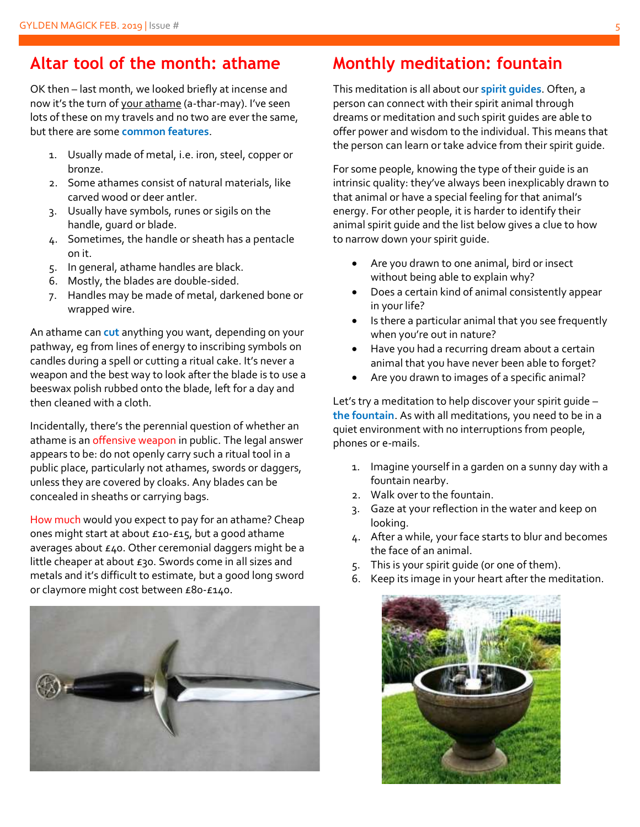### **Altar tool of the month: athame**

OK then – last month, we looked briefly at incense and now it's the turn of your athame (a-thar-may). I've seen lots of these on my travels and no two are ever the same, but there are some **common features**.

- 1. Usually made of metal, i.e. iron, steel, copper or bronze.
- 2. Some athames consist of natural materials, like carved wood or deer antler.
- 3. Usually have symbols, runes or sigils on the handle, guard or blade.
- 4. Sometimes, the handle or sheath has a pentacle on it.
- 5. In general, athame handles are black.
- 6. Mostly, the blades are double-sided.
- 7. Handles may be made of metal, darkened bone or wrapped wire.

An athame can **cut** anything you want, depending on your pathway, eg from lines of energy to inscribing symbols on candles during a spell or cutting a ritual cake. It's never a weapon and the best way to look after the blade is to use a beeswax polish rubbed onto the blade, left for a day and then cleaned with a cloth.

Incidentally, there's the perennial question of whether an athame is an offensive weapon in public. The legal answer appears to be: do not openly carry such a ritual tool in a public place, particularly not athames, swords or daggers, unless they are covered by cloaks. Any blades can be concealed in sheaths or carrying bags.

How much would you expect to pay for an athame? Cheap ones might start at about £10-£15, but a good athame averages about £40. Other ceremonial daggers might be a little cheaper at about £30. Swords come in all sizes and metals and it's difficult to estimate, but a good long sword or claymore might cost between £80-£140.



## **Monthly meditation: fountain**

This meditation is all about our **spirit guides**. Often, a person can connect with their spirit animal through dreams or meditation and such spirit guides are able to offer power and wisdom to the individual. This means that the person can learn or take advice from their spirit guide.

For some people, knowing the type of their guide is an intrinsic quality: they've always been inexplicably drawn to that animal or have a special feeling for that animal's energy. For other people, it is harder to identify their animal spirit guide and the list below gives a clue to how to narrow down your spirit guide.

- Are you drawn to one animal, bird or insect without being able to explain why?
- Does a certain kind of animal consistently appear in your life?
- Is there a particular animal that you see frequently when you're out in nature?
- Have you had a recurring dream about a certain animal that you have never been able to forget?
- Are you drawn to images of a specific animal?

Let's try a meditation to help discover your spirit guide – **the fountain**. As with all meditations, you need to be in a quiet environment with no interruptions from people, phones or e-mails.

- 1. Imagine yourself in a garden on a sunny day with a fountain nearby.
- 2. Walk over to the fountain.
- 3. Gaze at your reflection in the water and keep on looking.
- 4. After a while, your face starts to blur and becomes the face of an animal.
- 5. This is your spirit guide (or one of them).
- 6. Keep its image in your heart after the meditation.

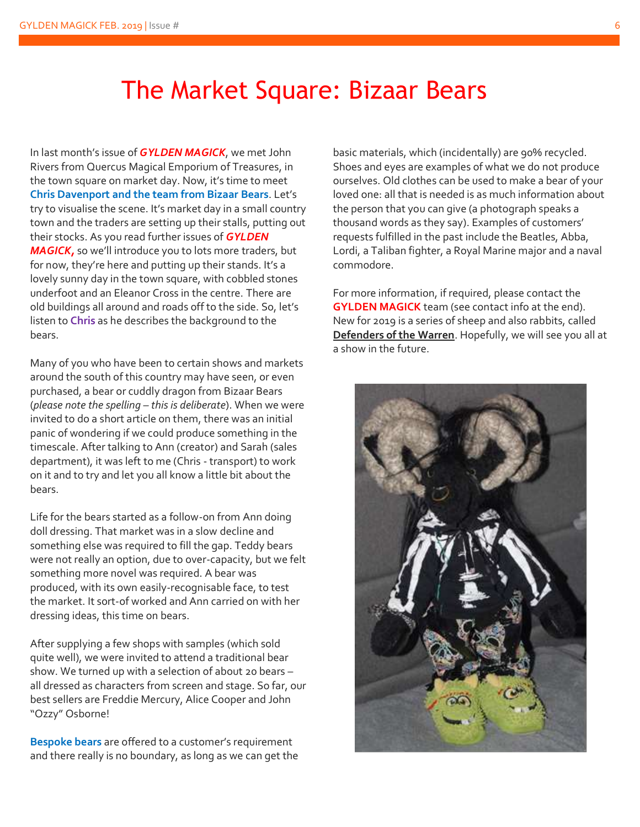# The Market Square: Bizaar Bears

In last month's issue of *GYLDEN MAGICK*, we met John Rivers from Quercus Magical Emporium of Treasures, in the town square on market day. Now, it's time to meet **Chris Davenport and the team from Bizaar Bears**. Let's try to visualise the scene. It's market day in a small country town and the traders are setting up their stalls, putting out their stocks. As you read further issues of *GYLDEN MAGICK,* so we'll introduce you to lots more traders, but for now, they're here and putting up their stands. It's a lovely sunny day in the town square, with cobbled stones underfoot and an Eleanor Cross in the centre. There are old buildings all around and roads off to the side. So, let's listen to **Chris** as he describes the background to the bears.

Many of you who have been to certain shows and markets around the south of this country may have seen, or even purchased, a bear or cuddly dragon from Bizaar Bears (*please note the spelling – this is deliberate*). When we were invited to do a short article on them, there was an initial panic of wondering if we could produce something in the timescale. After talking to Ann (creator) and Sarah (sales department), it was left to me (Chris - transport) to work on it and to try and let you all know a little bit about the bears.

Life for the bears started as a follow-on from Ann doing doll dressing. That market was in a slow decline and something else was required to fill the gap. Teddy bears were not really an option, due to over-capacity, but we felt something more novel was required. A bear was produced, with its own easily-recognisable face, to test the market. It sort-of worked and Ann carried on with her dressing ideas, this time on bears.

After supplying a few shops with samples (which sold quite well), we were invited to attend a traditional bear show. We turned up with a selection of about 20 bears – all dressed as characters from screen and stage. So far, our best sellers are Freddie Mercury, Alice Cooper and John "Ozzy" Osborne!

**Bespoke bears** are offered to a customer's requirement and there really is no boundary, as long as we can get the basic materials, which (incidentally) are 90% recycled. Shoes and eyes are examples of what we do not produce ourselves. Old clothes can be used to make a bear of your loved one: all that is needed is as much information about the person that you can give (a photograph speaks a thousand words as they say). Examples of customers' requests fulfilled in the past include the Beatles, Abba, Lordi, a Taliban fighter, a Royal Marine major and a naval commodore.

For more information, if required, please contact the **GYLDEN MAGICK** team (see contact info at the end). New for 2019 is a series of sheep and also rabbits, called **Defenders of the Warren**. Hopefully, we will see you all at a show in the future.

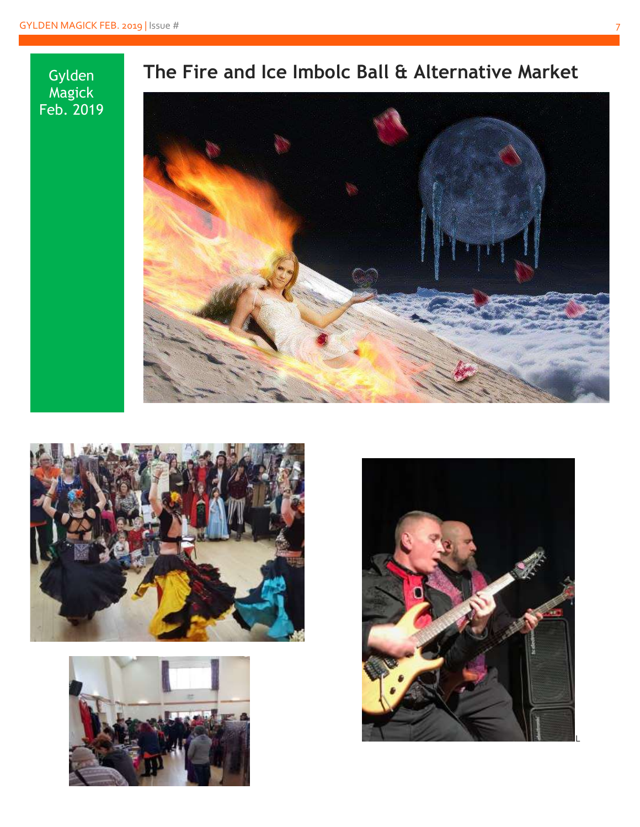





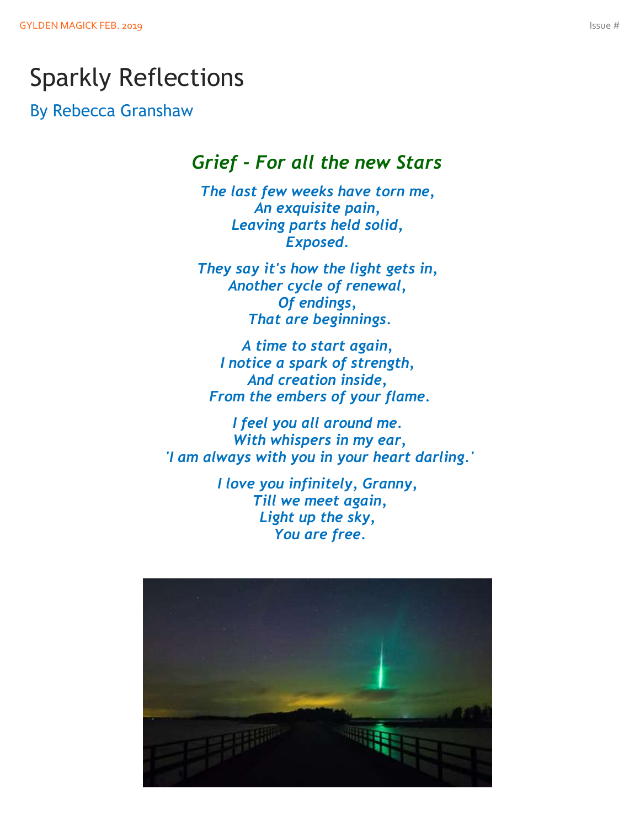# Sparkly Reflections

By Rebecca Granshaw

### *Grief - For all the new Stars*

*The last few weeks have torn me, An exquisite pain, Leaving parts held solid, Exposed.*

*They say it's how the light gets in, Another cycle of renewal, Of endings, That are beginnings.*

*A time to start again, I notice a spark of strength, And creation inside, From the embers of your flame.*

*I feel you all around me. With whispers in my ear, 'I am always with you in your heart darling.'*

> *I love you infinitely, Granny, Till we meet again, Light up the sky, You are free.*

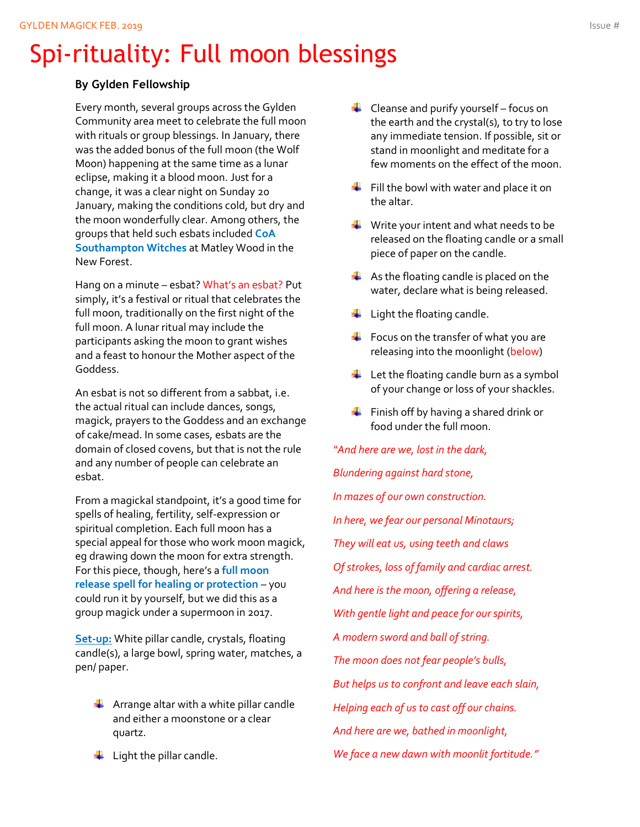# Spi-rituality: Full moon blessings

#### **By Gylden Fellowship**

Every month, several groups across the Gylden Community area meet to celebrate the full moon with rituals or group blessings. In January, there was the added bonus of the full moon (the Wolf Moon) happening at the same time as a lunar eclipse, making it a blood moon. Just for a change, it was a clear night on Sunday 20 January, making the conditions cold, but dry and the moon wonderfully clear. Among others, the groups that held such esbats included **CoA Southampton Witches** at Matley Wood in the New Forest.

Hang on a minute – esbat? What's an esbat? Put simply, it's a festival or ritual that celebrates the full moon, traditionally on the first night of the full moon. A lunar ritual may include the participants asking the moon to grant wishes and a feast to honour the Mother aspect of the Goddess.

An esbat is not so different from a sabbat, i.e. the actual ritual can include dances, songs, magick, prayers to the Goddess and an exchange of cake/mead. In some cases, esbats are the domain of closed covens, but that is not the rule and any number of people can celebrate an esbat.

From a magickal standpoint, it's a good time for spells of healing, fertility, self-expression or spiritual completion. Each full moon has a special appeal for those who work moon magick, eg drawing down the moon for extra strength. For this piece, though, here's a **full moon release spell for healing or protection** – you could run it by yourself, but we did this as a group magick under a supermoon in 2017.

**Set-up:** White pillar candle, crystals, floating candle(s), a large bowl, spring water, matches, a pen/ paper.

- $\frac{1}{2}$  Arrange altar with a white pillar candle and either a moonstone or a clear quartz.
- $\leftarrow$  Light the pillar candle.
- $\leftarrow$  Cleanse and purify yourself focus on the earth and the crystal(s), to try to lose any immediate tension. If possible, sit or stand in moonlight and meditate for a few moments on the effect of the moon.
- $\bigstar$  Fill the bowl with water and place it on the altar.
- $\frac{1}{2}$  Write your intent and what needs to be released on the floating candle or a small piece of paper on the candle.
- $\bigstar$  As the floating candle is placed on the water, declare what is being released.
- $\downarrow$  Light the floating candle.
- $\div$  Focus on the transfer of what you are releasing into the moonlight (below)
- $\overline{\phantom{a}}$  Let the floating candle burn as a symbol of your change or loss of your shackles.
- $\bigstar$  Finish off by having a shared drink or food under the full moon.

*"And here are we, lost in the dark, Blundering against hard stone, In mazes of our own construction. In here, we fear our personal Minotaurs; They will eat us, using teeth and claws Of strokes, loss of family and cardiac arrest. And here is the moon, offering a release, With gentle light and peace for our spirits, A modern sword and ball of string. The moon does not fear people's bulls, But helps us to confront and leave each slain, Helping each of us to cast off our chains. And here are we, bathed in moonlight, We face a new dawn with moonlit fortitude."*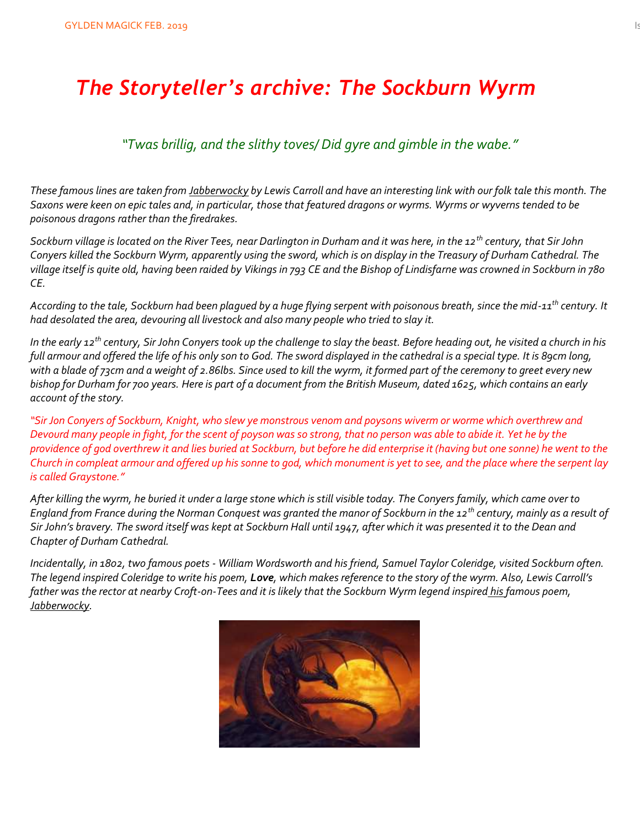# *The Storyteller's archive: The Sockburn Wyrm*

### *"Twas brillig, and the slithy toves/ Did gyre and gimble in the wabe."*

*These famous lines are taken from Jabberwocky by Lewis Carroll and have an interesting link with our folk tale this month. The Saxons were keen on epic tales and, in particular, those that featured dragons or wyrms. Wyrms or wyverns tended to be poisonous dragons rather than the firedrakes.*

*Sockburn village is located on the River Tees, near Darlington in Durham and it was here, in the 12th century, that Sir John Conyers killed the Sockburn Wyrm, apparently using the sword, which is on display in the Treasury of Durham Cathedral. The village itself is quite old, having been raided by Vikings in 793 CE and the Bishop of Lindisfarne was crowned in Sockburn in 780 CE.*

*According to the tale, Sockburn had been plagued by a huge flying serpent with poisonous breath, since the mid-11th century. It had desolated the area, devouring all livestock and also many people who tried to slay it.* 

*In the early 12th century, Sir John Conyers took up the challenge to slay the beast. Before heading out, he visited a church in his full armour and offered the life of his only son to God. The sword displayed in the cathedral is a special type. It is 89cm long, with a blade of 73cm and a weight of 2.86lbs. Since used to kill the wyrm, it formed part of the ceremony to greet every new bishop for Durham for 700 years. Here is part of a document from the British Museum, dated 1625, which contains an early account of the story.*

*"Sir Jon Conyers of Sockburn, Knight, who slew ye monstrous venom and poysons wiverm or worme which overthrew and Devourd many people in fight, for the scent of poyson was so strong, that no person was able to abide it. Yet he by the providence of god overthrew it and lies buried at Sockburn, but before he did enterprise it (having but one sonne) he went to the Church in compleat armour and offered up his sonne to god, which monument is yet to see, and the place where the serpent lay is called Graystone."*

*After killing the wyrm, he buried it under a large stone which is still visible today. The Conyers family, which came over to England from France during the Norman Conquest was granted the manor of Sockburn in the 12th century, mainly as a result of Sir John's bravery. The sword itself was kept at Sockburn Hall until 1947, after which it was presented it to the Dean and Chapter of Durham Cathedral.* 

*Incidentally, in 1802, two famous poets - William Wordsworth and his friend, Samuel Taylor Coleridge, visited Sockburn often. The legend inspired Coleridge to write his poem, Love, which makes reference to the story of the wyrm. Also, Lewis Carroll's father was the rector at nearby Croft-on-Tees and it is likely that the Sockburn Wyrm legend inspired his famous poem, [Jabberwocky.](http://allaboutdragons.com/dragons/Jabberwocky)* 

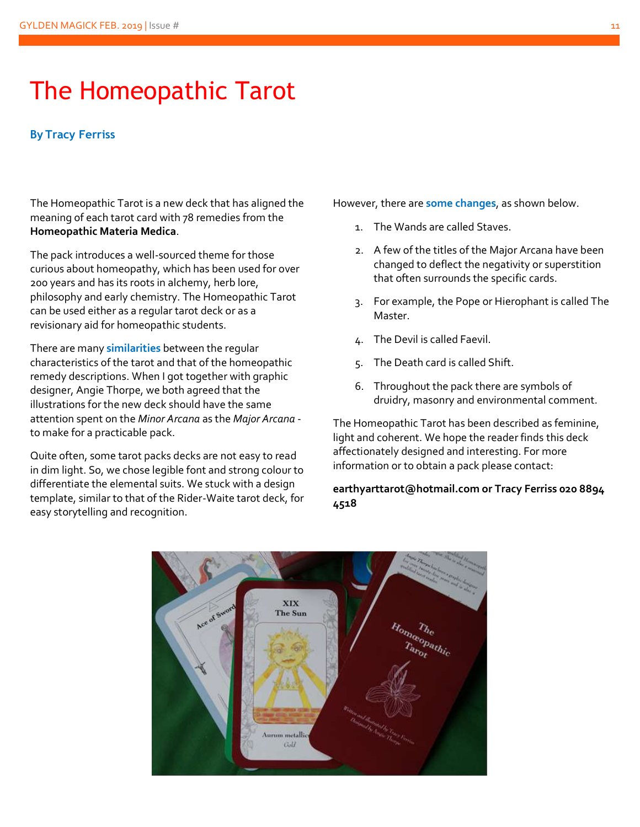# The Homeopathic Tarot

#### **By Tracy Ferriss**

The Homeopathic Tarot is a new deck that has aligned the meaning of each tarot card with 78 remedies from the **Homeopathic Materia Medica**.

The pack introduces a well-sourced theme for those curious about homeopathy, which has been used for over 200 years and has its roots in alchemy, herb lore, philosophy and early chemistry. The Homeopathic Tarot can be used either as a regular tarot deck or as a revisionary aid for homeopathic students.

There are many **similarities** between the regular characteristics of the tarot and that of the homeopathic remedy descriptions. When I got together with graphic designer, Angie Thorpe, we both agreed that the illustrations for the new deck should have the same attention spent on the *Minor Arcana* as the *Major Arcana* to make for a practicable pack.

Quite often, some tarot packs decks are not easy to read in dim light. So, we chose legible font and strong colour to differentiate the elemental suits. We stuck with a design template, similar to that of the Rider-Waite tarot deck, for easy storytelling and recognition.

However, there are **some changes**, as shown below.

- 1. The Wands are called Staves.
- 2. A few of the titles of the Major Arcana have been changed to deflect the negativity or superstition that often surrounds the specific cards.
- 3. For example, the Pope or Hierophant is called The Master.
- 4. The Devil is called Faevil.
- 5. The Death card is called Shift.
- 6. Throughout the pack there are symbols of druidry, masonry and environmental comment.

The Homeopathic Tarot has been described as feminine, light and coherent. We hope the reader finds this deck affectionately designed and interesting. For more information or to obtain a pack please contact:

#### **earthyarttarot@hotmail.com or Tracy Ferriss 020 8894 4518**

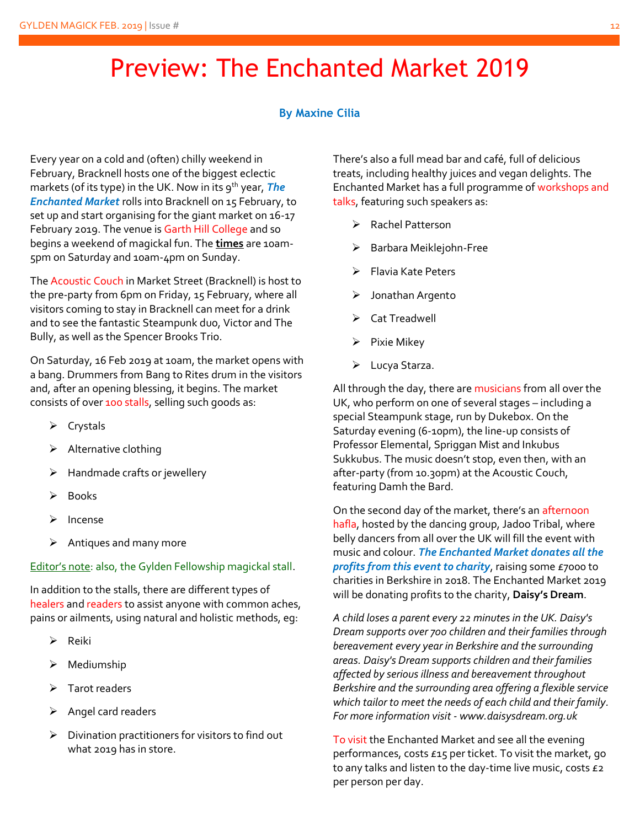# Preview: The Enchanted Market 2019

#### **By Maxine Cilia**

Every year on a cold and (often) chilly weekend in February, Bracknell hosts one of the biggest eclectic markets (of its type) in the UK. Now in its 9<sup>th</sup> year, **The** *Enchanted Market* rolls into Bracknell on 15 February, to set up and start organising for the giant market on 16-17 February 2019. The venue is Garth Hill College and so begins a weekend of magickal fun. The **times** are 10am-5pm on Saturday and 10am-4pm on Sunday.

The Acoustic Couch in Market Street (Bracknell) is host to the pre-party from 6pm on Friday, 15 February, where all visitors coming to stay in Bracknell can meet for a drink and to see the fantastic Steampunk duo, Victor and The Bully, as well as the Spencer Brooks Trio.

On Saturday, 16 Feb 2019 at 10am, the market opens with a bang. Drummers from Bang to Rites drum in the visitors and, after an opening blessing, it begins. The market consists of over 100 stalls, selling such goods as:

- ➢ Crystals
- $\triangleright$  Alternative clothing
- $\triangleright$  Handmade crafts or jewellery
- ➢ Books
- ➢ Incense
- ➢ Antiques and many more

#### Editor's note: also, the Gylden Fellowship magickal stall.

In addition to the stalls, there are different types of healers and readers to assist anyone with common aches, pains or ailments, using natural and holistic methods, eg:

- ➢ Reiki
- ➢ Mediumship
- ➢ Tarot readers
- ➢ Angel card readers
- ➢ Divination practitioners for visitors to find out what 2019 has in store.

There's also a full mead bar and café, full of delicious treats, including healthy juices and vegan delights. The Enchanted Market has a full programme of workshops and talks, featuring such speakers as:

- ➢ Rachel Patterson
- ➢ Barbara Meiklejohn-Free
- ➢ Flavia Kate Peters
- ➢ Jonathan Argento
- ➢ Cat Treadwell
- ➢ Pixie Mikey
- ➢ Lucya Starza.

All through the day, there are musicians from all over the UK, who perform on one of several stages – including a special Steampunk stage, run by Dukebox. On the Saturday evening (6-10pm), the line-up consists of Professor Elemental, Spriggan Mist and Inkubus Sukkubus. The music doesn't stop, even then, with an after-party (from 10.30pm) at the Acoustic Couch, featuring Damh the Bard.

On the second day of the market, there's an afternoon hafla, hosted by the dancing group, Jadoo Tribal, where belly dancers from all over the UK will fill the event with music and colour. *The Enchanted Market donates all the profits from this event to charity*, raising some £7000 to charities in Berkshire in 2018. The Enchanted Market 2019 will be donating profits to the charity, **Daisy's Dream**.

*A child loses a parent every 22 minutes in the UK. Daisy's Dream supports over 700 children and their families through bereavement every year in Berkshire and the surrounding areas. Daisy's Dream supports children and their families affected by serious illness and bereavement throughout Berkshire and the surrounding area offering a flexible service which tailor to meet the needs of each child and their family. For more information visit - www.daisysdream.org.uk*

To visit the Enchanted Market and see all the evening performances, costs £15 per ticket. To visit the market, go to any talks and listen to the day-time live music, costs £2 per person per day.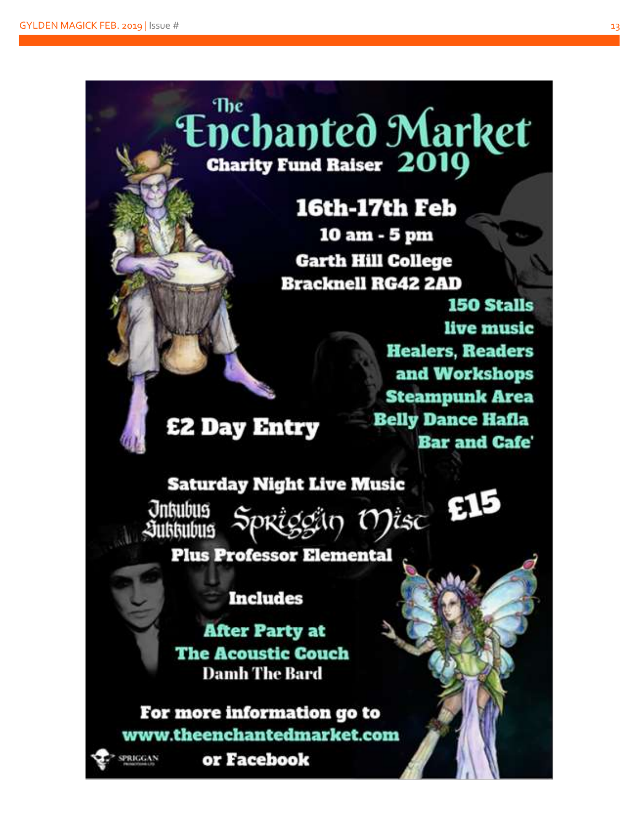# The **Enchanted Market Charity Fund Raiser 2019**

# 16th-17th Feb

10 am - 5 pm **Garth Hill College Bracknell RG42 2AD** 

> **150 Stalls** live music **Healers, Readers** and Workshops **Steampunk Area Belly Dance Hafla Bar and Cafe'**

**£2 Day Entry** 

## **Saturday Night Live Music**

Spriggin Misc E15 **Jnkubus** *<u>Exitstubus</u>* 

### **Plus Professor Elemental**

### **Includes**

**After Party at The Acoustic Couch Damh The Bard** 

### For more information go to www.theenchantedmarket.com



or Facebook